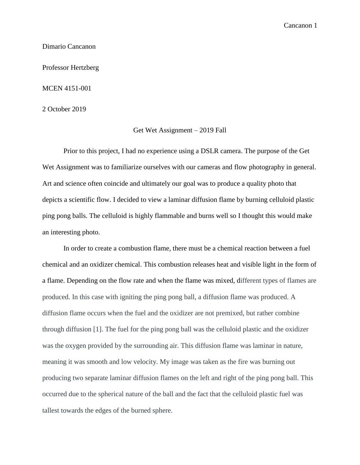Cancanon 1

### Dimario Cancanon

Professor Hertzberg

#### MCEN 4151-001

2 October 2019

## Get Wet Assignment – 2019 Fall

Prior to this project, I had no experience using a DSLR camera. The purpose of the Get Wet Assignment was to familiarize ourselves with our cameras and flow photography in general. Art and science often coincide and ultimately our goal was to produce a quality photo that depicts a scientific flow. I decided to view a laminar diffusion flame by burning celluloid plastic ping pong balls. The celluloid is highly flammable and burns well so I thought this would make an interesting photo.

In order to create a combustion flame, there must be a chemical reaction between a fuel chemical and an oxidizer chemical. This combustion releases heat and visible light in the form of a flame. Depending on the flow rate and when the flame was mixed, different types of flames are produced. In this case with igniting the ping pong ball, a diffusion flame was produced. A diffusion flame occurs when the fuel and the oxidizer are not premixed, but rather combine through diffusion [1]. The fuel for the ping pong ball was the celluloid plastic and the oxidizer was the oxygen provided by the surrounding air. This diffusion flame was laminar in nature, meaning it was smooth and low velocity. My image was taken as the fire was burning out producing two separate laminar diffusion flames on the left and right of the ping pong ball. This occurred due to the spherical nature of the ball and the fact that the celluloid plastic fuel was tallest towards the edges of the burned sphere.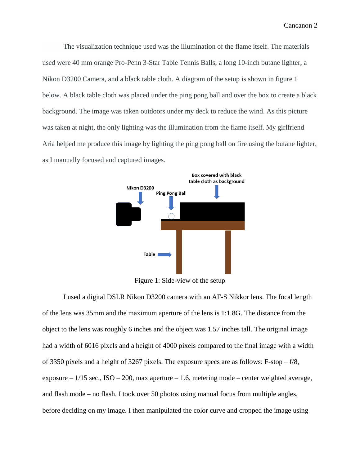Cancanon 2

The visualization technique used was the illumination of the flame itself. The materials used were 40 mm orange Pro-Penn 3-Star Table Tennis Balls, a long 10-inch butane lighter, a Nikon D3200 Camera, and a black table cloth. A diagram of the setup is shown in figure 1 below. A black table cloth was placed under the ping pong ball and over the box to create a black background. The image was taken outdoors under my deck to reduce the wind. As this picture was taken at night, the only lighting was the illumination from the flame itself. My girlfriend Aria helped me produce this image by lighting the ping pong ball on fire using the butane lighter, as I manually focused and captured images.



Figure 1: Side-view of the setup

I used a digital DSLR Nikon D3200 camera with an AF-S Nikkor lens. The focal length of the lens was 35mm and the maximum aperture of the lens is 1:1.8G. The distance from the object to the lens was roughly 6 inches and the object was 1.57 inches tall. The original image had a width of 6016 pixels and a height of 4000 pixels compared to the final image with a width of 3350 pixels and a height of 3267 pixels. The exposure specs are as follows: F-stop – f/8, exposure –  $1/15$  sec., ISO – 200, max aperture – 1.6, metering mode – center weighted average, and flash mode – no flash. I took over 50 photos using manual focus from multiple angles, before deciding on my image. I then manipulated the color curve and cropped the image using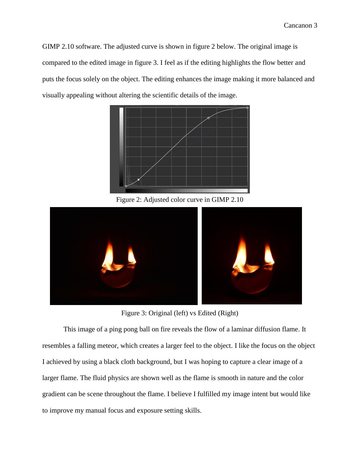GIMP 2.10 software. The adjusted curve is shown in figure 2 below. The original image is compared to the edited image in figure 3. I feel as if the editing highlights the flow better and puts the focus solely on the object. The editing enhances the image making it more balanced and visually appealing without altering the scientific details of the image.



Figure 2: Adjusted color curve in GIMP 2.10



Figure 3: Original (left) vs Edited (Right)

This image of a ping pong ball on fire reveals the flow of a laminar diffusion flame. It resembles a falling meteor, which creates a larger feel to the object. I like the focus on the object I achieved by using a black cloth background, but I was hoping to capture a clear image of a larger flame. The fluid physics are shown well as the flame is smooth in nature and the color gradient can be scene throughout the flame. I believe I fulfilled my image intent but would like to improve my manual focus and exposure setting skills.